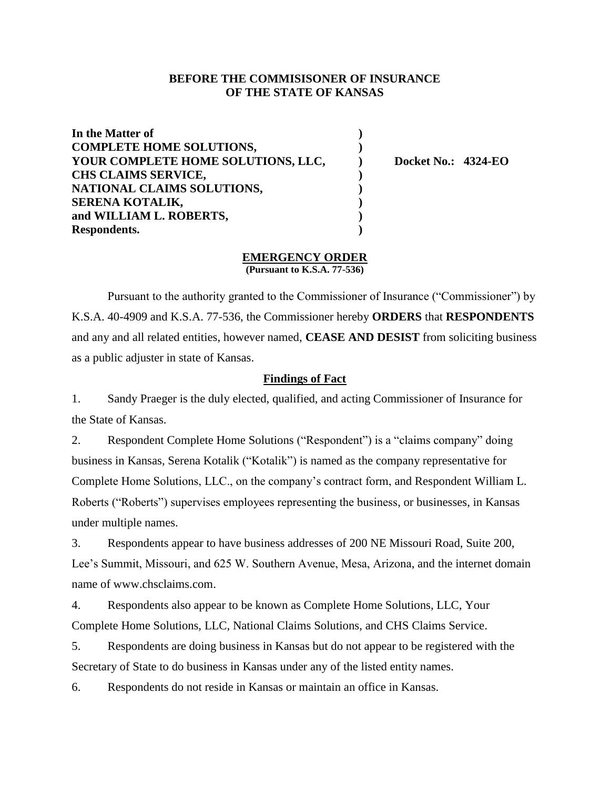# **BEFORE THE COMMISISONER OF INSURANCE OF THE STATE OF KANSAS**

| In the Matter of                   |                            |
|------------------------------------|----------------------------|
| <b>COMPLETE HOME SOLUTIONS,</b>    |                            |
| YOUR COMPLETE HOME SOLUTIONS, LLC, | <b>Docket No.: 4324-EO</b> |
| <b>CHS CLAIMS SERVICE,</b>         |                            |
| NATIONAL CLAIMS SOLUTIONS,         |                            |
| <b>SERENA KOTALIK,</b>             |                            |
| and WILLIAM L. ROBERTS,            |                            |
| Respondents.                       |                            |

# **EMERGENCY ORDER**

**(Pursuant to K.S.A. 77-536)**

Pursuant to the authority granted to the Commissioner of Insurance ("Commissioner") by K.S.A. 40-4909 and K.S.A. 77-536, the Commissioner hereby **ORDERS** that **RESPONDENTS**  and any and all related entities, however named, **CEASE AND DESIST** from soliciting business as a public adjuster in state of Kansas.

## **Findings of Fact**

1. Sandy Praeger is the duly elected, qualified, and acting Commissioner of Insurance for the State of Kansas.

2. Respondent Complete Home Solutions ("Respondent") is a "claims company" doing business in Kansas, Serena Kotalik ("Kotalik") is named as the company representative for Complete Home Solutions, LLC., on the company's contract form, and Respondent William L. Roberts ("Roberts") supervises employees representing the business, or businesses, in Kansas under multiple names.

3. Respondents appear to have business addresses of 200 NE Missouri Road, Suite 200, Lee's Summit, Missouri, and 625 W. Southern Avenue, Mesa, Arizona, and the internet domain name of www.chsclaims.com.

4. Respondents also appear to be known as Complete Home Solutions, LLC, Your Complete Home Solutions, LLC, National Claims Solutions, and CHS Claims Service.

5. Respondents are doing business in Kansas but do not appear to be registered with the Secretary of State to do business in Kansas under any of the listed entity names.

6. Respondents do not reside in Kansas or maintain an office in Kansas.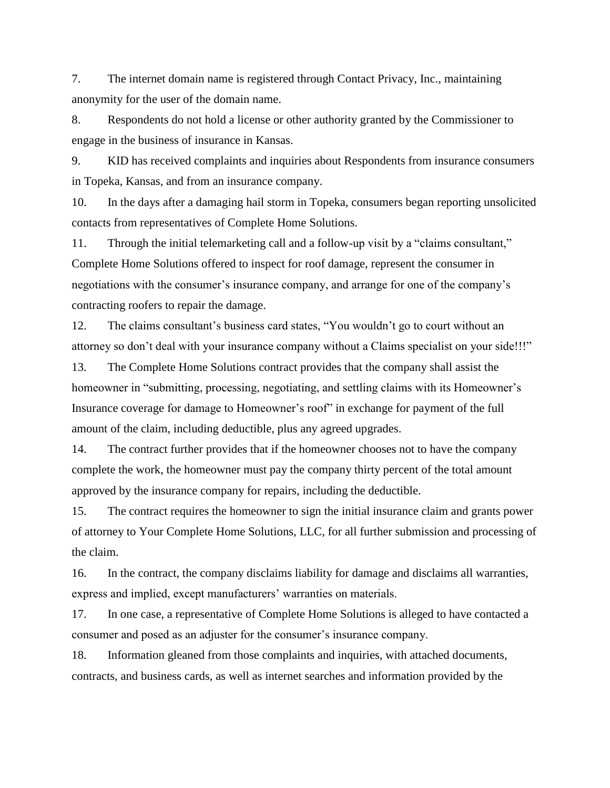7. The internet domain name is registered through Contact Privacy, Inc., maintaining anonymity for the user of the domain name.

8. Respondents do not hold a license or other authority granted by the Commissioner to engage in the business of insurance in Kansas.

9. KID has received complaints and inquiries about Respondents from insurance consumers in Topeka, Kansas, and from an insurance company.

10. In the days after a damaging hail storm in Topeka, consumers began reporting unsolicited contacts from representatives of Complete Home Solutions.

11. Through the initial telemarketing call and a follow-up visit by a "claims consultant," Complete Home Solutions offered to inspect for roof damage, represent the consumer in negotiations with the consumer's insurance company, and arrange for one of the company's contracting roofers to repair the damage.

12. The claims consultant's business card states, "You wouldn't go to court without an attorney so don't deal with your insurance company without a Claims specialist on your side!!!"

13. The Complete Home Solutions contract provides that the company shall assist the homeowner in "submitting, processing, negotiating, and settling claims with its Homeowner's Insurance coverage for damage to Homeowner's roof" in exchange for payment of the full amount of the claim, including deductible, plus any agreed upgrades.

14. The contract further provides that if the homeowner chooses not to have the company complete the work, the homeowner must pay the company thirty percent of the total amount approved by the insurance company for repairs, including the deductible.

15. The contract requires the homeowner to sign the initial insurance claim and grants power of attorney to Your Complete Home Solutions, LLC, for all further submission and processing of the claim.

16. In the contract, the company disclaims liability for damage and disclaims all warranties, express and implied, except manufacturers' warranties on materials.

17. In one case, a representative of Complete Home Solutions is alleged to have contacted a consumer and posed as an adjuster for the consumer's insurance company.

18. Information gleaned from those complaints and inquiries, with attached documents, contracts, and business cards, as well as internet searches and information provided by the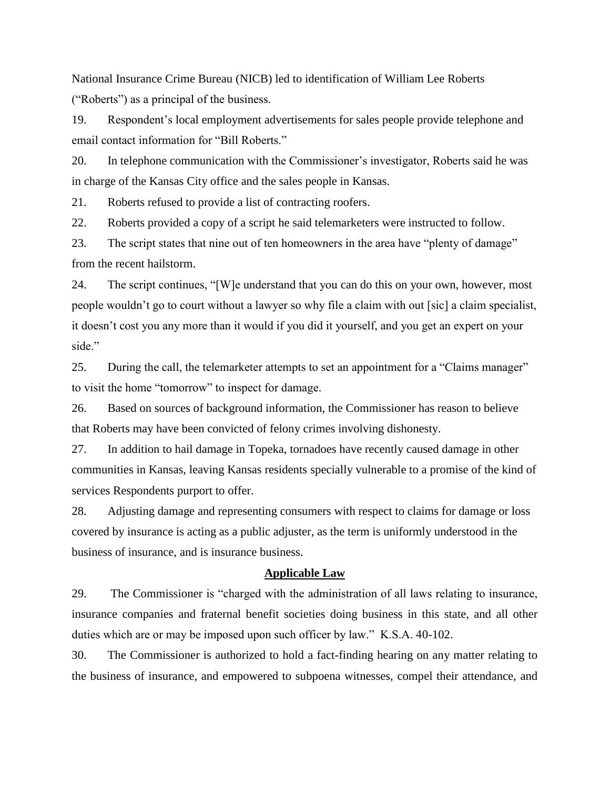National Insurance Crime Bureau (NICB) led to identification of William Lee Roberts ("Roberts") as a principal of the business.

19. Respondent's local employment advertisements for sales people provide telephone and email contact information for "Bill Roberts."

20. In telephone communication with the Commissioner's investigator, Roberts said he was in charge of the Kansas City office and the sales people in Kansas.

21. Roberts refused to provide a list of contracting roofers.

22. Roberts provided a copy of a script he said telemarketers were instructed to follow.

23. The script states that nine out of ten homeowners in the area have "plenty of damage" from the recent hailstorm.

24. The script continues, "[W]e understand that you can do this on your own, however, most people wouldn't go to court without a lawyer so why file a claim with out [sic] a claim specialist, it doesn't cost you any more than it would if you did it yourself, and you get an expert on your side."

25. During the call, the telemarketer attempts to set an appointment for a "Claims manager" to visit the home "tomorrow" to inspect for damage.

26. Based on sources of background information, the Commissioner has reason to believe that Roberts may have been convicted of felony crimes involving dishonesty.

27. In addition to hail damage in Topeka, tornadoes have recently caused damage in other communities in Kansas, leaving Kansas residents specially vulnerable to a promise of the kind of services Respondents purport to offer.

28. Adjusting damage and representing consumers with respect to claims for damage or loss covered by insurance is acting as a public adjuster, as the term is uniformly understood in the business of insurance, and is insurance business.

## **Applicable Law**

29. The Commissioner is "charged with the administration of all laws relating to insurance, insurance companies and fraternal benefit societies doing business in this state, and all other duties which are or may be imposed upon such officer by law." K.S.A. 40-102.

30. The Commissioner is authorized to hold a fact-finding hearing on any matter relating to the business of insurance, and empowered to subpoena witnesses, compel their attendance, and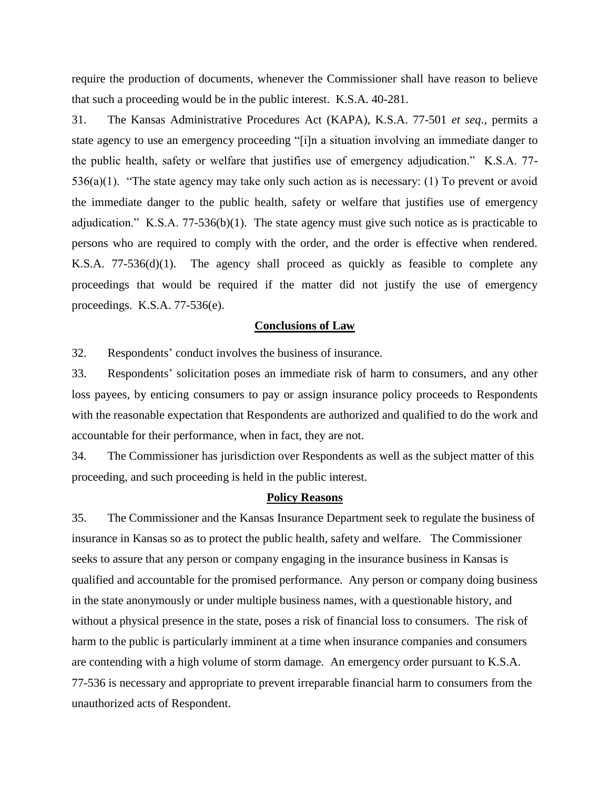require the production of documents, whenever the Commissioner shall have reason to believe that such a proceeding would be in the public interest. K.S.A. 40-281.

31. The Kansas Administrative Procedures Act (KAPA), K.S.A. 77-501 *et seq*., permits a state agency to use an emergency proceeding "[i]n a situation involving an immediate danger to the public health, safety or welfare that justifies use of emergency adjudication." K.S.A. 77- 536(a)(1). "The state agency may take only such action as is necessary: (1) To prevent or avoid the immediate danger to the public health, safety or welfare that justifies use of emergency adjudication." K.S.A. 77-536(b)(1). The state agency must give such notice as is practicable to persons who are required to comply with the order, and the order is effective when rendered. K.S.A. 77-536(d)(1). The agency shall proceed as quickly as feasible to complete any proceedings that would be required if the matter did not justify the use of emergency proceedings. K.S.A. 77-536(e).

# **Conclusions of Law**

32. Respondents' conduct involves the business of insurance.

33. Respondents' solicitation poses an immediate risk of harm to consumers, and any other loss payees, by enticing consumers to pay or assign insurance policy proceeds to Respondents with the reasonable expectation that Respondents are authorized and qualified to do the work and accountable for their performance, when in fact, they are not.

34. The Commissioner has jurisdiction over Respondents as well as the subject matter of this proceeding, and such proceeding is held in the public interest.

#### **Policy Reasons**

35. The Commissioner and the Kansas Insurance Department seek to regulate the business of insurance in Kansas so as to protect the public health, safety and welfare. The Commissioner seeks to assure that any person or company engaging in the insurance business in Kansas is qualified and accountable for the promised performance. Any person or company doing business in the state anonymously or under multiple business names, with a questionable history, and without a physical presence in the state, poses a risk of financial loss to consumers. The risk of harm to the public is particularly imminent at a time when insurance companies and consumers are contending with a high volume of storm damage. An emergency order pursuant to K.S.A. 77-536 is necessary and appropriate to prevent irreparable financial harm to consumers from the unauthorized acts of Respondent.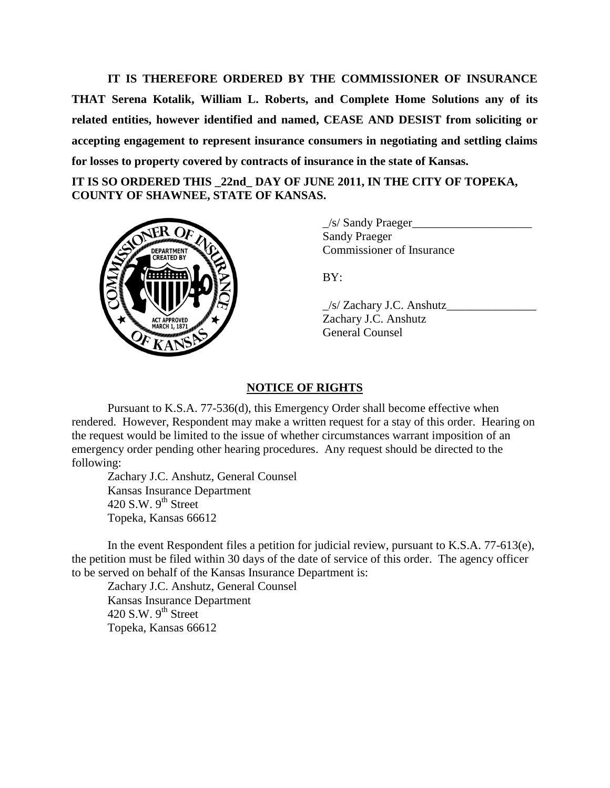**IT IS THEREFORE ORDERED BY THE COMMISSIONER OF INSURANCE THAT Serena Kotalik, William L. Roberts, and Complete Home Solutions any of its related entities, however identified and named, CEASE AND DESIST from soliciting or accepting engagement to represent insurance consumers in negotiating and settling claims for losses to property covered by contracts of insurance in the state of Kansas.**

**IT IS SO ORDERED THIS \_22nd\_ DAY OF JUNE 2011, IN THE CITY OF TOPEKA, COUNTY OF SHAWNEE, STATE OF KANSAS.** 



 $\angle$ s/ Sandy Praeger $\angle$ Sandy Praeger Commissioner of Insurance

BY:

 $\angle$ s/ Zachary J.C. Anshutz $\angle$ Zachary J.C. Anshutz General Counsel

# **NOTICE OF RIGHTS**

Pursuant to K.S.A. 77-536(d), this Emergency Order shall become effective when rendered. However, Respondent may make a written request for a stay of this order. Hearing on the request would be limited to the issue of whether circumstances warrant imposition of an emergency order pending other hearing procedures. Any request should be directed to the following:

Zachary J.C. Anshutz, General Counsel Kansas Insurance Department 420 S.W.  $9<sup>th</sup>$  Street Topeka, Kansas 66612

In the event Respondent files a petition for judicial review, pursuant to K.S.A. 77-613(e), the petition must be filed within 30 days of the date of service of this order. The agency officer to be served on behalf of the Kansas Insurance Department is:

Zachary J.C. Anshutz, General Counsel Kansas Insurance Department 420 S.W.  $9<sup>th</sup>$  Street Topeka, Kansas 66612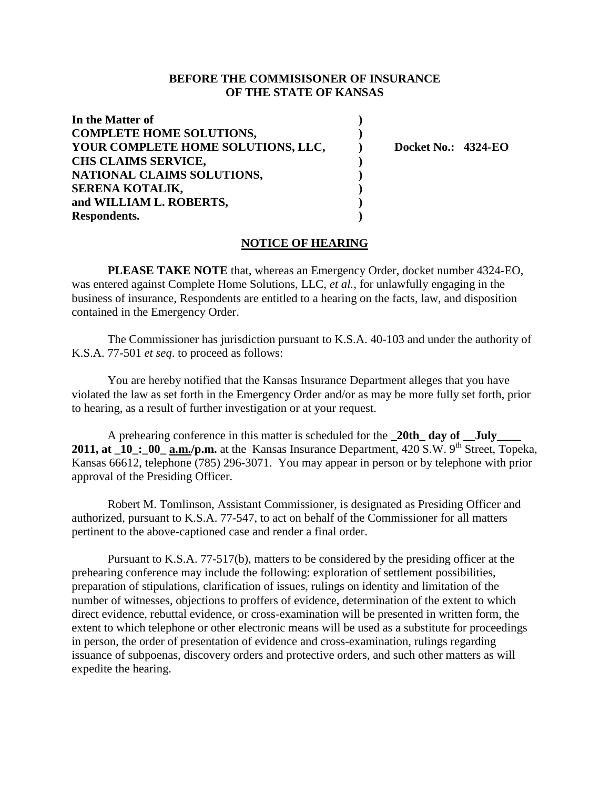# **BEFORE THE COMMISISONER OF INSURANCE OF THE STATE OF KANSAS**

| In the Matter of                   |                            |
|------------------------------------|----------------------------|
| <b>COMPLETE HOME SOLUTIONS,</b>    |                            |
| YOUR COMPLETE HOME SOLUTIONS, LLC, | <b>Docket No.: 4324-EO</b> |
| CHS CLAIMS SERVICE,                |                            |
| NATIONAL CLAIMS SOLUTIONS,         |                            |
| SERENA KOTALIK,                    |                            |
| and WILLIAM L. ROBERTS,            |                            |
| Respondents.                       |                            |

### **NOTICE OF HEARING**

**PLEASE TAKE NOTE** that, whereas an Emergency Order, docket number 4324-EO, was entered against Complete Home Solutions, LLC, *et al.*, for unlawfully engaging in the business of insurance, Respondents are entitled to a hearing on the facts, law, and disposition contained in the Emergency Order.

The Commissioner has jurisdiction pursuant to K.S.A. 40-103 and under the authority of K.S.A. 77-501 *et seq*. to proceed as follows:

You are hereby notified that the Kansas Insurance Department alleges that you have violated the law as set forth in the Emergency Order and/or as may be more fully set forth, prior to hearing, as a result of further investigation or at your request.

A prehearing conference in this matter is scheduled for the **\_20th\_ day of \_\_July\_\_\_\_ 2011, at**  $\overline{a}$  **10 : 00**  $\overline{a}$  **a.m./p.m.** at the Kansas Insurance Department, 420  $\overline{S}$ .W. 9<sup>th</sup> Street, Topeka, Kansas 66612, telephone (785) 296-3071. You may appear in person or by telephone with prior approval of the Presiding Officer.

Robert M. Tomlinson, Assistant Commissioner, is designated as Presiding Officer and authorized, pursuant to K.S.A. 77-547, to act on behalf of the Commissioner for all matters pertinent to the above-captioned case and render a final order.

Pursuant to K.S.A. 77-517(b), matters to be considered by the presiding officer at the prehearing conference may include the following: exploration of settlement possibilities, preparation of stipulations, clarification of issues, rulings on identity and limitation of the number of witnesses, objections to proffers of evidence, determination of the extent to which direct evidence, rebuttal evidence, or cross-examination will be presented in written form, the extent to which telephone or other electronic means will be used as a substitute for proceedings in person, the order of presentation of evidence and cross-examination, rulings regarding issuance of subpoenas, discovery orders and protective orders, and such other matters as will expedite the hearing.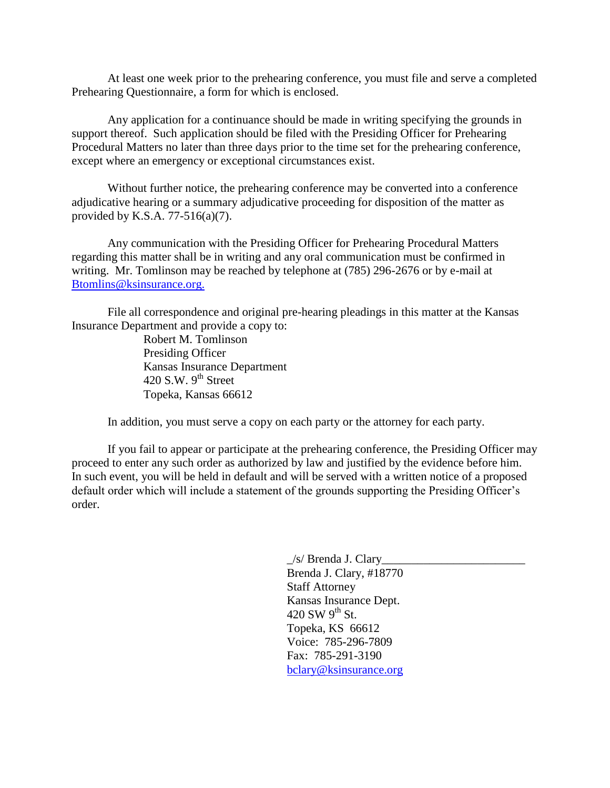At least one week prior to the prehearing conference, you must file and serve a completed Prehearing Questionnaire, a form for which is enclosed.

Any application for a continuance should be made in writing specifying the grounds in support thereof. Such application should be filed with the Presiding Officer for Prehearing Procedural Matters no later than three days prior to the time set for the prehearing conference, except where an emergency or exceptional circumstances exist.

Without further notice, the prehearing conference may be converted into a conference adjudicative hearing or a summary adjudicative proceeding for disposition of the matter as provided by K.S.A. 77-516(a)(7).

Any communication with the Presiding Officer for Prehearing Procedural Matters regarding this matter shall be in writing and any oral communication must be confirmed in writing. Mr. Tomlinson may be reached by telephone at (785) 296-2676 or by e-mail at [Btomlins@ksinsurance.org.](mailto:Btomlins@ksinsurance.org)

File all correspondence and original pre-hearing pleadings in this matter at the Kansas Insurance Department and provide a copy to:

> Robert M. Tomlinson Presiding Officer Kansas Insurance Department 420 S.W.  $9^{th}$  Street Topeka, Kansas 66612

In addition, you must serve a copy on each party or the attorney for each party.

If you fail to appear or participate at the prehearing conference, the Presiding Officer may proceed to enter any such order as authorized by law and justified by the evidence before him. In such event, you will be held in default and will be served with a written notice of a proposed default order which will include a statement of the grounds supporting the Presiding Officer's order.

> $\angle$ s/ Brenda J. Clary Brenda J. Clary, #18770 Staff Attorney Kansas Insurance Dept. 420 SW  $9<sup>th</sup>$  St. Topeka, KS 66612 Voice: 785-296-7809 Fax: 785-291-3190 [bclary@ksinsurance.org](mailto:bclary@ksinsurance.org)